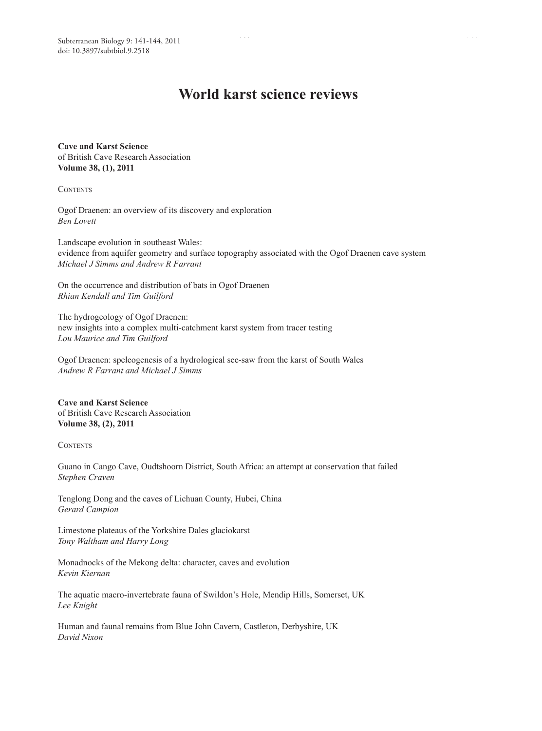# **World karst science reviews**

**Cave and Karst Science** of British Cave Research Association **Volume 38, (1), 2011**

**CONTENTS** 

Ogof Draenen: an overview of its discovery and exploration *Ben Lovett*

Landscape evolution in southeast Wales: evidence from aquifer geometry and surface topography associated with the Ogof Draenen cave system *Michael J Simms and Andrew R Farrant*

On the occurrence and distribution of bats in Ogof Draenen *Rhian Kendall and Tim Guilford*

The hydrogeology of Ogof Draenen: new insights into a complex multi-catchment karst system from tracer testing *Lou Maurice and Tim Guilford*

Ogof Draenen: speleogenesis of a hydrological see-saw from the karst of South Wales *Andrew R Farrant and Michael J Simms*

**Cave and Karst Science** of British Cave Research Association **Volume 38, (2), 2011**

**CONTENTS** 

Guano in Cango Cave, Oudtshoorn District, South Africa: an attempt at conservation that failed *Stephen Craven*

Tenglong Dong and the caves of Lichuan County, Hubei, China *Gerard Campion*

Limestone plateaus of the Yorkshire Dales glaciokarst *Tony Waltham and Harry Long*

Monadnocks of the Mekong delta: character, caves and evolution *Kevin Kiernan*

The aquatic macro-invertebrate fauna of Swildon's Hole, Mendip Hills, Somerset, UK *Lee Knight*

Human and faunal remains from Blue John Cavern, Castleton, Derbyshire, UK *David Nixon*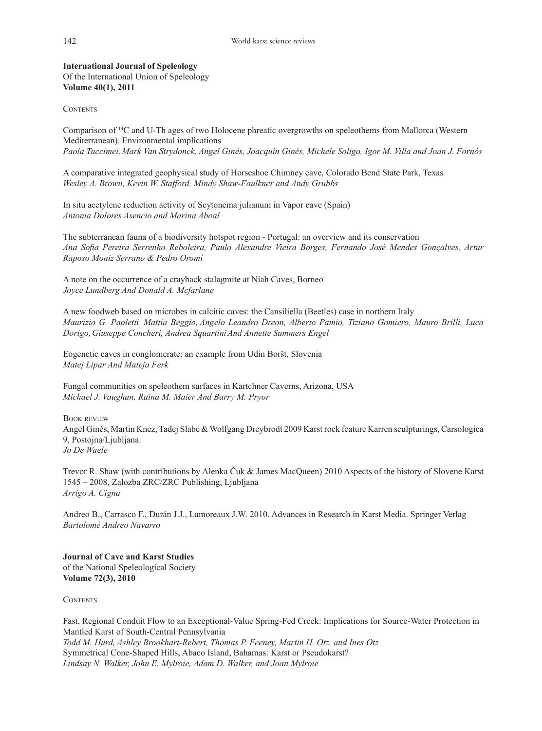**International Journal of Speleology** Of the International Union of Speleology **Volume 40(1), 2011**

**CONTENTS** 

Comparison of 14C and U-Th ages of two Holocene phreatic overgrowths on speleothems from Mallorca (Western Mediterranean). Environmental implications *Paola Tuccimei, Mark Van Strydonck, Angel Ginés, Joacquìn Ginés, Michele Soligo, Igor M. Villa and Joan J. Fornós*

A comparative integrated geophysical study of Horseshoe Chimney cave, Colorado Bend State Park, Texas *Wesley A. Brown, Kevin W. Stafford, Mindy Shaw-Faulkner and Andy Grubbs*

In situ acetylene reduction activity of Scytonema julianum in Vapor cave (Spain) *Antonia Dolores Asencio and Marina Aboal*

The subterranean fauna of a biodiversity hotspot region - Portugal: an overview and its conservation *Ana Sofia Pereira Serrenho Reboleira, Paulo Alexandre Vieira Borges, Fernando José Mendes Gonçalves, Artur Raposo Moniz Serrano & Pedro Oromí*

A note on the occurrence of a crayback stalagmite at Niah Caves, Borneo *Joyce Lundberg And Donald A. Mcfarlane*

A new foodweb based on microbes in calcitic caves: the Cansiliella (Beetles) case in northern Italy Maurizio G. Paoletti Mattia Beggio, Angelo Leandro Dreon, Alberto Pamio, Tiziano Gomiero, Mauro Brilli, Luca *Dorigo, Giuseppe Concheri, Andrea SquartiniAnd Annette Summers Engel*

Eogenetic caves in conglomerate: an example from Udin Boršt, Slovenia *Matej Lipar And Mateja Ferk*

Fungal communities on speleothem surfaces in Kartchner Caverns, Arizona, USA *Michael J. Vaughan, Raina M. Maier And Barry M. Pryor*

Book review Angel Ginés, Martin Knez, Tadej Slabe & Wolfgang Dreybrodt 2009 Karst rock feature Karren sculpturings, Carsologica 9, Postojna/Ljubljana. *Jo De Waele*

Trevor R. Shaw (with contributions by Alenka Čuk & James MacQueen) 2010 Aspects of the history of Slovene Karst 1545 – 2008, Zalozba ZRC/ZRC Publishing, Ljubljana *Arrigo A. Cigna*

Andreo B., Carrasco F., Durán J.J., Lamoreaux J.W. 2010. Advances in Research in Karst Media. Springer Verlag *Bartolomé Andreo Navarro*

**Journal of Cave and Karst Studies** of the National Speleological Society **Volume 72(3), 2010**

**CONTENTS** 

Fast, Regional Conduit Flow to an Exceptional-Value Spring-Fed Creek: Implications for Source-Water Protection in Mantled Karst of South-Central Pennsylvania *Todd M. Hurd, Ashley Brookhart-Rebert, Thomas P. Feeney, Martin H. Otz, and Ines Otz* Symmetrical Cone-Shaped Hills, Abaco Island, Bahamas: Karst or Pseudokarst? *Lindsay N. Walker, John E. Mylroie, Adam D. Walker, and Joan Mylroie*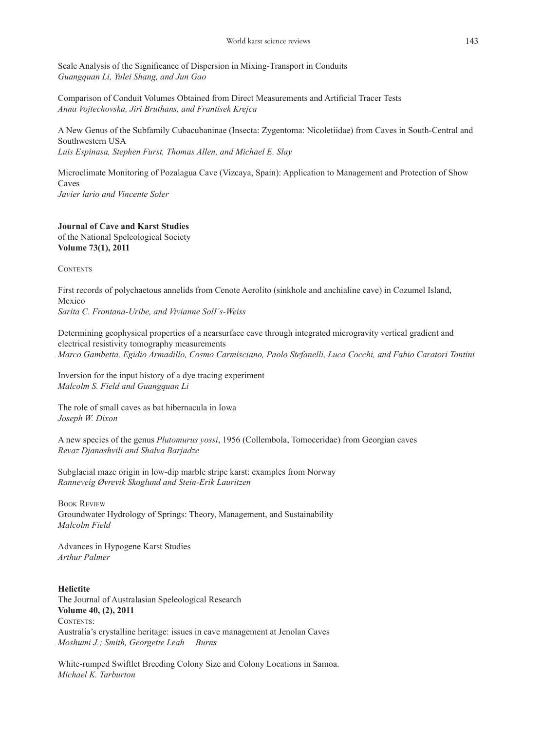Scale Analysis of the Significance of Dispersion in Mixing-Transport in Conduits *Guangquan Li, Yulei Shang, and Jun Gao*

Comparison of Conduit Volumes Obtained from Direct Measurements and Artificial Tracer Tests *Anna Vojtechovska, Jiri Bruthans, and Frantisek Krejca*

A New Genus of the Subfamily Cubacubaninae (Insecta: Zygentoma: Nicoletiidae) from Caves in South-Central and Southwestern USA *Luis Espinasa, Stephen Furst, Thomas Allen, and Michael E. Slay*

Microclimate Monitoring of Pozalagua Cave (Vizcaya, Spain): Application to Management and Protection of Show Caves *Javier lario and Vincente Soler*

## **Journal of Cave and Karst Studies**

of the National Speleological Society **Volume 73(1), 2011**

**CONTENTS** 

First records of polychaetous annelids from Cenote Aerolito (sinkhole and anchialine cave) in Cozumel Island, Mexico

*Sarita C. Frontana-Uribe, and Vivianne SolI´s-Weiss*

Determining geophysical properties of a nearsurface cave through integrated microgravity vertical gradient and electrical resistivity tomography measurements *Marco Gambetta, Egidio Armadillo, Cosmo Carmisciano, Paolo Stefanelli, Luca Cocchi, and Fabio Caratori Tontini*

Inversion for the input history of a dye tracing experiment *Malcolm S. Field and Guangquan Li*

The role of small caves as bat hibernacula in Iowa *Joseph W. Dixon*

A new species of the genus *Plutomurus yossi*, 1956 (Collembola, Tomoceridae) from Georgian caves *Revaz Djanashvili and Shalva Barjadze*

Subglacial maze origin in low-dip marble stripe karst: examples from Norway *Ranneveig Øvrevik Skoglund and Stein-Erik Lauritzen*

Book Review Groundwater Hydrology of Springs: Theory, Management, and Sustainability *Malcolm Field*

Advances in Hypogene Karst Studies *Arthur Palmer*

### **Helictite**

The Journal of Australasian Speleological Research **Volume 40, (2), 2011** CONTENTS: Australia's crystalline heritage: issues in cave management at Jenolan Caves *Moshumi J.; Smith, Georgette Leah Burns*

White-rumped Swiftlet Breeding Colony Size and Colony Locations in Samoa. *Michael K. Tarburton*